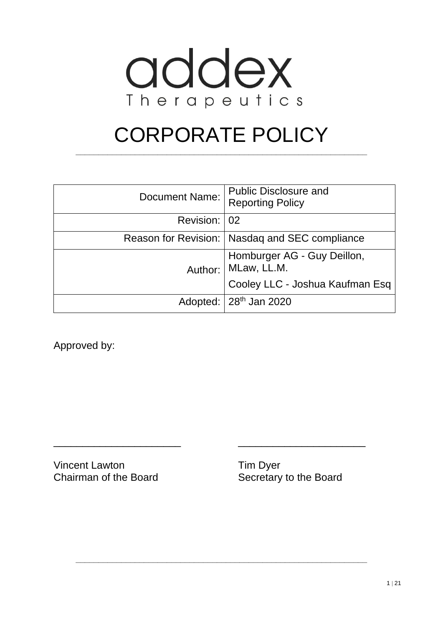

# CORPORATE POLICY **\_\_\_\_\_\_\_\_\_\_\_\_\_\_\_\_\_\_\_\_\_\_\_\_\_\_\_\_\_\_\_\_\_\_\_\_\_\_\_\_\_\_\_\_\_\_\_\_\_\_\_\_\_\_\_\_\_\_\_\_\_\_\_\_**

| Document Name: | <b>Public Disclosure and</b><br><b>Reporting Policy</b> |
|----------------|---------------------------------------------------------|
| Revision: 02   |                                                         |
|                | Reason for Revision:   Nasdaq and SEC compliance        |
| Author:        | Homburger AG - Guy Deillon,<br>MLaw, LL.M.              |
|                | Cooley LLC - Joshua Kaufman Esq                         |
|                | Adopted: $28th$ Jan 2020                                |

\_\_\_\_\_\_\_\_\_\_\_\_\_\_\_\_\_\_\_\_\_\_ \_\_\_\_\_\_\_\_\_\_\_\_\_\_\_\_\_\_\_\_\_\_

**\_\_\_\_\_\_\_\_\_\_\_\_\_\_\_\_\_\_\_\_\_\_\_\_\_\_\_\_\_\_\_\_\_\_\_\_\_\_\_\_\_\_\_\_\_\_\_\_\_\_\_\_\_\_\_\_\_\_\_\_\_\_\_\_**

Approved by:

Vincent Lawton Tim Dyer Chairman of the Board Secretary to the Board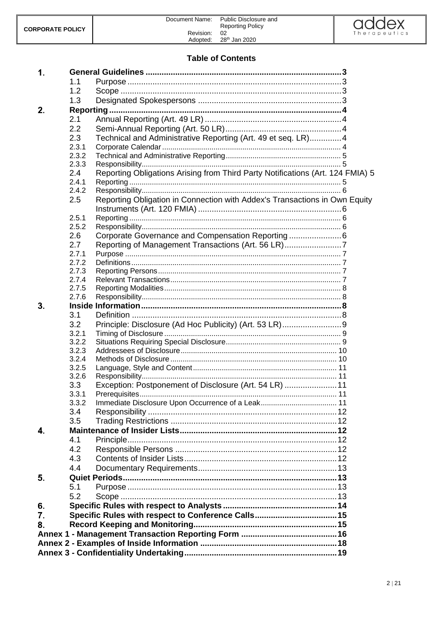

### **Table of Contents**

| 1.               |                |                                                                                |  |
|------------------|----------------|--------------------------------------------------------------------------------|--|
|                  | 1.1            |                                                                                |  |
|                  | 1.2            |                                                                                |  |
|                  | 1.3            |                                                                                |  |
| $\mathbf{2}$     |                |                                                                                |  |
|                  | 2.1            |                                                                                |  |
|                  | 2.2            |                                                                                |  |
|                  | 2.3            | Technical and Administrative Reporting (Art. 49 et seq. LR)4                   |  |
|                  | 2.3.1          |                                                                                |  |
|                  | 2.3.2          |                                                                                |  |
|                  | 2.3.3          |                                                                                |  |
|                  | 2.4            | Reporting Obligations Arising from Third Party Notifications (Art. 124 FMIA) 5 |  |
|                  | 2.4.1          |                                                                                |  |
|                  | 2.4.2          |                                                                                |  |
|                  | 2.5            | Reporting Obligation in Connection with Addex's Transactions in Own Equity     |  |
|                  | 2.5.1          |                                                                                |  |
|                  | 2.5.2          |                                                                                |  |
|                  | 2.6            |                                                                                |  |
|                  | 2.7            | Reporting of Management Transactions (Art. 56 LR)7                             |  |
|                  | 2.7.1          |                                                                                |  |
|                  | 2.7.2          |                                                                                |  |
|                  | 2.7.3          |                                                                                |  |
|                  | 2.7.4          |                                                                                |  |
|                  | 2.7.5          |                                                                                |  |
|                  | 2.7.6          |                                                                                |  |
| 3.               |                |                                                                                |  |
|                  | 3.1            |                                                                                |  |
|                  | 3.2            |                                                                                |  |
|                  | 3.2.1<br>3.2.2 |                                                                                |  |
|                  | 3.2.3          |                                                                                |  |
|                  | 3.2.4          |                                                                                |  |
|                  | 3.2.5          |                                                                                |  |
|                  | 3.2.6          |                                                                                |  |
|                  | 3.3            | Exception: Postponement of Disclosure (Art. 54 LR)  11                         |  |
|                  | 3.3.1          |                                                                                |  |
|                  | 3.3.2          |                                                                                |  |
|                  | 3.4            |                                                                                |  |
|                  | 3.5            |                                                                                |  |
| 4.               |                |                                                                                |  |
|                  | 4.1            |                                                                                |  |
|                  | 4.2            |                                                                                |  |
|                  | 4.3            |                                                                                |  |
|                  | 4.4            |                                                                                |  |
| 5.               |                |                                                                                |  |
|                  | 5.1            |                                                                                |  |
|                  | 5.2            |                                                                                |  |
| 6.               |                |                                                                                |  |
| $\overline{7}$ . |                | Specific Rules with respect to Conference Calls 15                             |  |
| 8.               |                |                                                                                |  |
|                  |                |                                                                                |  |
|                  |                |                                                                                |  |
|                  |                |                                                                                |  |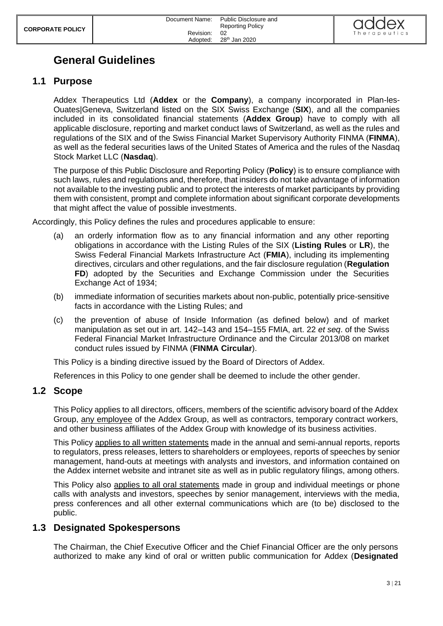

# <span id="page-2-0"></span>**General Guidelines**

## <span id="page-2-1"></span>**1.1 Purpose**

Addex Therapeutics Ltd (**Addex** or the **Company**), a company incorporated in Plan-les-Ouates|Geneva, Switzerland listed on the SIX Swiss Exchange (**SIX**), and all the companies included in its consolidated financial statements (**Addex Group**) have to comply with all applicable disclosure, reporting and market conduct laws of Switzerland, as well as the rules and regulations of the SIX and of the Swiss Financial Market Supervisory Authority FINMA (**FINMA**), as well as the federal securities laws of the United States of America and the rules of the Nasdaq Stock Market LLC (**Nasdaq**).

The purpose of this Public Disclosure and Reporting Policy (**Policy**) is to ensure compliance with such laws, rules and regulations and, therefore, that insiders do not take advantage of information not available to the investing public and to protect the interests of market participants by providing them with consistent, prompt and complete information about significant corporate developments that might affect the value of possible investments.

Accordingly, this Policy defines the rules and procedures applicable to ensure:

- (a) an orderly information flow as to any financial information and any other reporting obligations in accordance with the Listing Rules of the SIX (**Listing Rules** or **LR**), the Swiss Federal Financial Markets Infrastructure Act (**FMIA**), including its implementing directives, circulars and other regulations, and the fair disclosure regulation (**Regulation FD**) adopted by the Securities and Exchange Commission under the Securities Exchange Act of 1934;
- (b) immediate information of securities markets about non-public, potentially price-sensitive facts in accordance with the Listing Rules; and
- (c) the prevention of abuse of Inside Information (as defined below) and of market manipulation as set out in art. 142–143 and 154–155 FMIA, art. 22 *et seq*. of the Swiss Federal Financial Market Infrastructure Ordinance and the Circular 2013/08 on market conduct rules issued by FINMA (**FINMA Circular**).

This Policy is a binding directive issued by the Board of Directors of Addex.

<span id="page-2-2"></span>References in this Policy to one gender shall be deemed to include the other gender.

#### **1.2 Scope**

This Policy applies to all directors, officers, members of the scientific advisory board of the Addex Group, any employee of the Addex Group, as well as contractors, temporary contract workers, and other business affiliates of the Addex Group with knowledge of its business activities.

This Policy applies to all written statements made in the annual and semi-annual reports, reports to regulators, press releases, letters to shareholders or employees, reports of speeches by senior management, hand-outs at meetings with analysts and investors, and information contained on the Addex internet website and intranet site as well as in public regulatory filings, among others.

This Policy also applies to all oral statements made in group and individual meetings or phone calls with analysts and investors, speeches by senior management, interviews with the media, press conferences and all other external communications which are (to be) disclosed to the public.

### <span id="page-2-3"></span>**1.3 Designated Spokespersons**

The Chairman, the Chief Executive Officer and the Chief Financial Officer are the only persons authorized to make any kind of oral or written public communication for Addex (**Designated**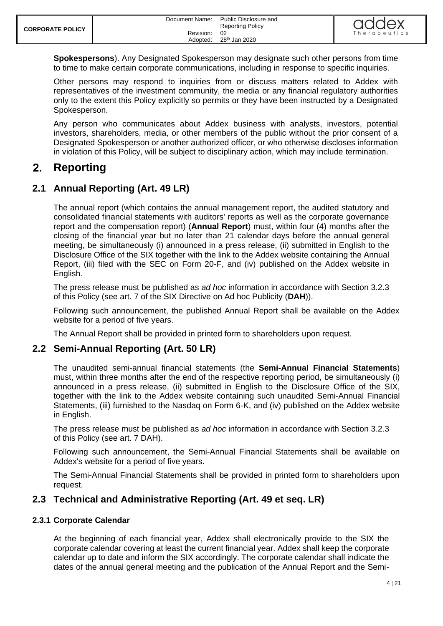**Spokespersons**). Any Designated Spokesperson may designate such other persons from time to time to make certain corporate communications, including in response to specific inquiries.

Other persons may respond to inquiries from or discuss matters related to Addex with representatives of the investment community, the media or any financial regulatory authorities only to the extent this Policy explicitly so permits or they have been instructed by a Designated Spokesperson.

Any person who communicates about Addex business with analysts, investors, potential investors, shareholders, media, or other members of the public without the prior consent of a Designated Spokesperson or another authorized officer, or who otherwise discloses information in violation of this Policy, will be subject to disciplinary action, which may include termination.

#### <span id="page-3-0"></span> $2<sub>1</sub>$ **Reporting**

# <span id="page-3-1"></span>**2.1 Annual Reporting (Art. 49 LR)**

The annual report (which contains the annual management report, the audited statutory and consolidated financial statements with auditors' reports as well as the corporate governance report and the compensation report) (**Annual Report**) must, within four (4) months after the closing of the financial year but no later than 21 calendar days before the annual general meeting, be simultaneously (i) announced in a press release, (ii) submitted in English to the Disclosure Office of the SIX together with the link to the Addex website containing the Annual Report, (iii) filed with the SEC on Form 20-F, and (iv) published on the Addex website in English.

The press release must be published as *ad hoc* information in accordance with Section 3.2.3 of this Policy (see art. 7 of the SIX Directive on Ad hoc Publicity (**DAH**)).

Following such announcement, the published Annual Report shall be available on the Addex website for a period of five years.

<span id="page-3-2"></span>The Annual Report shall be provided in printed form to shareholders upon request.

# **2.2 Semi-Annual Reporting (Art. 50 LR)**

The unaudited semi-annual financial statements (the **Semi-Annual Financial Statements**) must, within three months after the end of the respective reporting period, be simultaneously (i) announced in a press release, (ii) submitted in English to the Disclosure Office of the SIX, together with the link to the Addex website containing such unaudited Semi-Annual Financial Statements, (iii) furnished to the Nasdaq on Form 6-K, and (iv) published on the Addex website in English.

The press release must be published as *ad hoc* information in accordance with Section 3.2.3 of this Policy (see art. 7 DAH).

Following such announcement, the Semi-Annual Financial Statements shall be available on Addex's website for a period of five years.

The Semi-Annual Financial Statements shall be provided in printed form to shareholders upon request.

# <span id="page-3-3"></span>**2.3 Technical and Administrative Reporting (Art. 49 et seq. LR)**

### <span id="page-3-4"></span>**2.3.1 Corporate Calendar**

At the beginning of each financial year, Addex shall electronically provide to the SIX the corporate calendar covering at least the current financial year. Addex shall keep the corporate calendar up to date and inform the SIX accordingly. The corporate calendar shall indicate the dates of the annual general meeting and the publication of the Annual Report and the Semi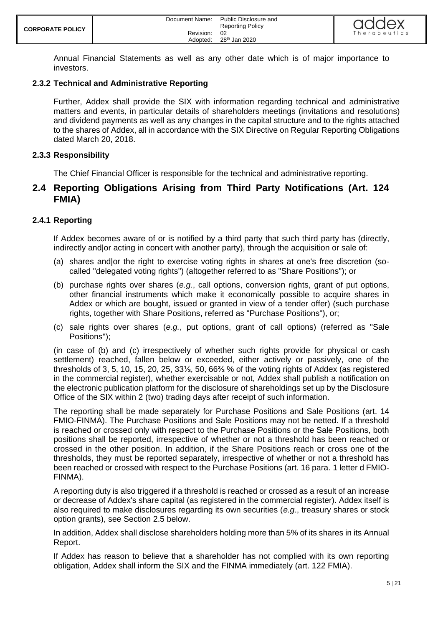Annual Financial Statements as well as any other date which is of major importance to investors.

#### <span id="page-4-0"></span>**2.3.2 Technical and Administrative Reporting**

Further, Addex shall provide the SIX with information regarding technical and administrative matters and events, in particular details of shareholders meetings (invitations and resolutions) and dividend payments as well as any changes in the capital structure and to the rights attached to the shares of Addex, all in accordance with the SIX Directive on Regular Reporting Obligations dated March 20, 2018.

#### <span id="page-4-1"></span>**2.3.3 Responsibility**

<span id="page-4-2"></span>The Chief Financial Officer is responsible for the technical and administrative reporting.

### **2.4 Reporting Obligations Arising from Third Party Notifications (Art. 124 FMIA)**

#### <span id="page-4-3"></span>**2.4.1 Reporting**

If Addex becomes aware of or is notified by a third party that such third party has (directly, indirectly and|or acting in concert with another party), through the acquisition or sale of:

- (a) shares and|or the right to exercise voting rights in shares at one's free discretion (socalled "delegated voting rights") (altogether referred to as "Share Positions"); or
- (b) purchase rights over shares (*e.g.*, call options, conversion rights, grant of put options, other financial instruments which make it economically possible to acquire shares in Addex or which are bought, issued or granted in view of a tender offer) (such purchase rights, together with Share Positions, referred as "Purchase Positions"), or;
- (c) sale rights over shares (*e.g.*, put options, grant of call options) (referred as "Sale Positions");

(in case of (b) and (c) irrespectively of whether such rights provide for physical or cash settlement) reached, fallen below or exceeded, either actively or passively, one of the thresholds of 3, 5, 10, 15, 20, 25, 33⅓, 50, 66⅔ % of the voting rights of Addex (as registered in the commercial register), whether exercisable or not, Addex shall publish a notification on the electronic publication platform for the disclosure of shareholdings set up by the Disclosure Office of the SIX within 2 (two) trading days after receipt of such information.

The reporting shall be made separately for Purchase Positions and Sale Positions (art. 14 FMIO-FINMA). The Purchase Positions and Sale Positions may not be netted. If a threshold is reached or crossed only with respect to the Purchase Positions or the Sale Positions, both positions shall be reported, irrespective of whether or not a threshold has been reached or crossed in the other position. In addition, if the Share Positions reach or cross one of the thresholds, they must be reported separately, irrespective of whether or not a threshold has been reached or crossed with respect to the Purchase Positions (art. 16 para. 1 letter d FMIO-FINMA).

A reporting duty is also triggered if a threshold is reached or crossed as a result of an increase or decrease of Addex's share capital (as registered in the commercial register). Addex itself is also required to make disclosures regarding its own securities (*e.g*., treasury shares or stock option grants), see Section 2.5 below.

In addition, Addex shall disclose shareholders holding more than 5% of its shares in its Annual Report.

If Addex has reason to believe that a shareholder has not complied with its own reporting obligation, Addex shall inform the SIX and the FINMA immediately (art. 122 FMIA).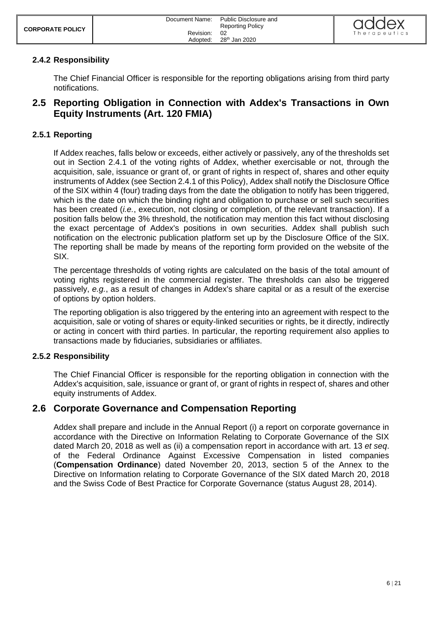| <b>CORPORATE POLICY</b> | Document Name: | Public Disclosure and<br><b>Reporting Policy</b> | addex               |
|-------------------------|----------------|--------------------------------------------------|---------------------|
|                         | Revision:      | - 02                                             | <b>Therapeutics</b> |
|                         | Adopted:       | 28 <sup>th</sup> Jan 2020                        |                     |

#### <span id="page-5-0"></span>**2.4.2 Responsibility**

The Chief Financial Officer is responsible for the reporting obligations arising from third party notifications.

### <span id="page-5-1"></span>**2.5 Reporting Obligation in Connection with Addex's Transactions in Own Equity Instruments (Art. 120 FMIA)**

#### <span id="page-5-2"></span>**2.5.1 Reporting**

If Addex reaches, falls below or exceeds, either actively or passively, any of the thresholds set out in Section 2.4.1 of the voting rights of Addex, whether exercisable or not, through the acquisition, sale, issuance or grant of, or grant of rights in respect of, shares and other equity instruments of Addex (see Section 2.4.1 of this Policy), Addex shall notify the Disclosure Office of the SIX within 4 (four) trading days from the date the obligation to notify has been triggered, which is the date on which the binding right and obligation to purchase or sell such securities has been created (*i.e.*, execution, not closing or completion, of the relevant transaction). If a position falls below the 3% threshold, the notification may mention this fact without disclosing the exact percentage of Addex's positions in own securities. Addex shall publish such notification on the electronic publication platform set up by the Disclosure Office of the SIX. The reporting shall be made by means of the reporting form provided on the website of the SIX.

The percentage thresholds of voting rights are calculated on the basis of the total amount of voting rights registered in the commercial register. The thresholds can also be triggered passively, *e.g.*, as a result of changes in Addex's share capital or as a result of the exercise of options by option holders.

The reporting obligation is also triggered by the entering into an agreement with respect to the acquisition, sale or voting of shares or equity-linked securities or rights, be it directly, indirectly or acting in concert with third parties. In particular, the reporting requirement also applies to transactions made by fiduciaries, subsidiaries or affiliates.

#### <span id="page-5-3"></span>**2.5.2 Responsibility**

The Chief Financial Officer is responsible for the reporting obligation in connection with the Addex's acquisition, sale, issuance or grant of, or grant of rights in respect of, shares and other equity instruments of Addex.

#### <span id="page-5-4"></span>**2.6 Corporate Governance and Compensation Reporting**

Addex shall prepare and include in the Annual Report (i) a report on corporate governance in accordance with the Directive on Information Relating to Corporate Governance of the SIX dated March 20, 2018 as well as (ii) a compensation report in accordance with art. 13 *et seq*. of the Federal Ordinance Against Excessive Compensation in listed companies (**Compensation Ordinance**) dated November 20, 2013, section 5 of the Annex to the Directive on Information relating to Corporate Governance of the SIX dated March 20, 2018 and the Swiss Code of Best Practice for Corporate Governance (status August 28, 2014).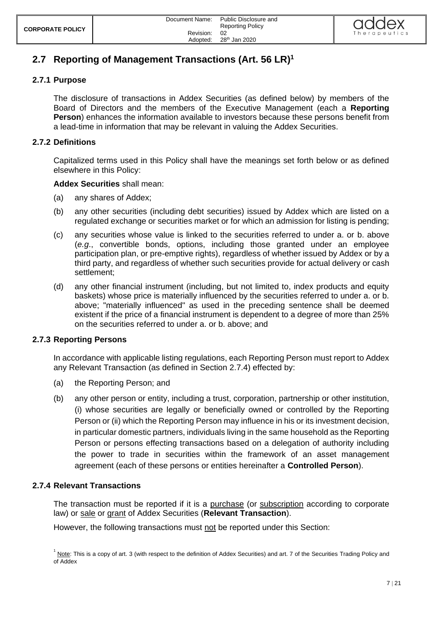# <span id="page-6-0"></span>**2.7 Reporting of Management Transactions (Art. 56 LR)<sup>1</sup>**

#### <span id="page-6-1"></span>**2.7.1 Purpose**

The disclosure of transactions in Addex Securities (as defined below) by members of the Board of Directors and the members of the Executive Management (each a **Reporting Person**) enhances the information available to investors because these persons benefit from a lead-time in information that may be relevant in valuing the Addex Securities.

#### <span id="page-6-2"></span>**2.7.2 Definitions**

Capitalized terms used in this Policy shall have the meanings set forth below or as defined elsewhere in this Policy:

#### **Addex Securities** shall mean:

- (a) any shares of Addex;
- (b) any other securities (including debt securities) issued by Addex which are listed on a regulated exchange or securities market or for which an admission for listing is pending;
- (c) any securities whose value is linked to the securities referred to under a. or b. above (*e.g*., convertible bonds, options, including those granted under an employee participation plan, or pre-emptive rights), regardless of whether issued by Addex or by a third party, and regardless of whether such securities provide for actual delivery or cash settlement;
- (d) any other financial instrument (including, but not limited to, index products and equity baskets) whose price is materially influenced by the securities referred to under a. or b. above; "materially influenced" as used in the preceding sentence shall be deemed existent if the price of a financial instrument is dependent to a degree of more than 25% on the securities referred to under a. or b. above; and

#### <span id="page-6-3"></span>**2.7.3 Reporting Persons**

In accordance with applicable listing regulations, each Reporting Person must report to Addex any Relevant Transaction (as defined in Section [2.7.4\)](#page-6-4) effected by:

- (a) the Reporting Person; and
- (b) any other person or entity, including a trust, corporation, partnership or other institution, (i) whose securities are legally or beneficially owned or controlled by the Reporting Person or (ii) which the Reporting Person may influence in his or its investment decision, in particular domestic partners, individuals living in the same household as the Reporting Person or persons effecting transactions based on a delegation of authority including the power to trade in securities within the framework of an asset management agreement (each of these persons or entities hereinafter a **Controlled Person**).

#### <span id="page-6-4"></span>**2.7.4 Relevant Transactions**

The transaction must be reported if it is a purchase (or subscription according to corporate law) or sale or grant of Addex Securities (**Relevant Transaction**).

However, the following transactions must not be reported under this Section:

 $1 \overline{1}$  Note: This is a copy of art. 3 (with respect to the definition of Addex Securities) and art. 7 of the Securities Trading Policy and of Addex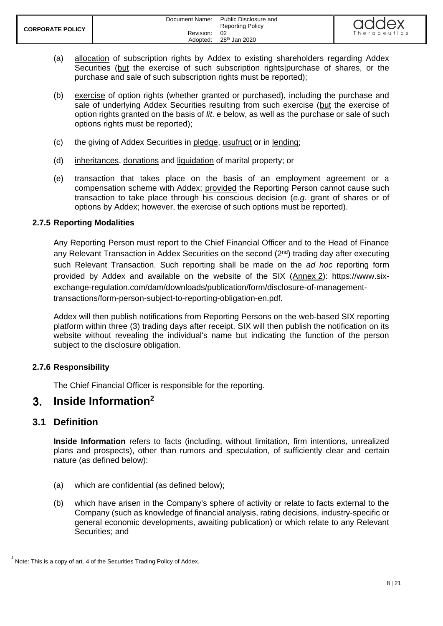- (a) allocation of subscription rights by Addex to existing shareholders regarding Addex Securities (but the exercise of such subscription rights|purchase of shares, or the purchase and sale of such subscription rights must be reported);
- (b) exercise of option rights (whether granted or purchased), including the purchase and sale of underlying Addex Securities resulting from such exercise (but the exercise of option rights granted on the basis of *lit*. e below, as well as the purchase or sale of such options rights must be reported);
- (c) the giving of Addex Securities in pledge, usufruct or in lending;
- (d) inheritances, donations and liquidation of marital property; or
- (e) transaction that takes place on the basis of an employment agreement or a compensation scheme with Addex; provided the Reporting Person cannot cause such transaction to take place through his conscious decision (*e.g.* grant of shares or of options by Addex; however, the exercise of such options must be reported).

#### <span id="page-7-0"></span>**2.7.5 Reporting Modalities**

Any Reporting Person must report to the Chief Financial Officer and to the Head of Finance any Relevant Transaction in Addex Securities on the second  $(2^{nd})$  trading day after executing such Relevant Transaction. Such reporting shall be made on the *ad hoc* reporting form provided by Addex and available on the website of the SIX (Annex 2): https://www.sixexchange-regulation.com/dam/downloads/publication/form/disclosure-of-managementtransactions/form-person-subject-to-reporting-obligation-en.pdf.

Addex will then publish notifications from Reporting Persons on the web-based SIX reporting platform within three (3) trading days after receipt. SIX will then publish the notification on its website without revealing the individual's name but indicating the function of the person subject to the disclosure obligation.

#### <span id="page-7-1"></span>**2.7.6 Responsibility**

<span id="page-7-2"></span>The Chief Financial Officer is responsible for the reporting.

#### $3<sub>1</sub>$ **Inside Information<sup>2</sup>**

### <span id="page-7-3"></span>**3.1 Definition**

**Inside Information** refers to facts (including, without limitation, firm intentions, unrealized plans and prospects), other than rumors and speculation, of sufficiently clear and certain nature (as defined below):

- (a) which are confidential (as defined below);
- (b) which have arisen in the Company's sphere of activity or relate to facts external to the Company (such as knowledge of financial analysis, rating decisions, industry-specific or general economic developments, awaiting publication) or which relate to any Relevant Securities; and

 $2^{2}$  Note: This is a copy of art. 4 of the Securities Trading Policy of Addex.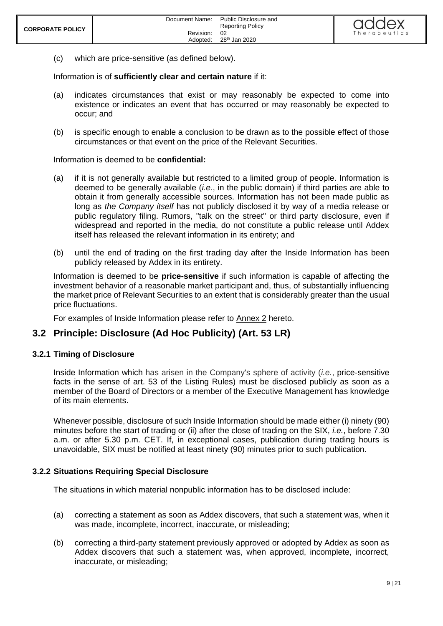(c) which are price-sensitive (as defined below).

Information is of **sufficiently clear and certain nature** if it:

- (a) indicates circumstances that exist or may reasonably be expected to come into existence or indicates an event that has occurred or may reasonably be expected to occur; and
- (b) is specific enough to enable a conclusion to be drawn as to the possible effect of those circumstances or that event on the price of the Relevant Securities.

#### Information is deemed to be **confidential:**

- (a) if it is not generally available but restricted to a limited group of people. Information is deemed to be generally available (*i.e*., in the public domain) if third parties are able to obtain it from generally accessible sources. Information has not been made public as long as *the Company itself* has not publicly disclosed it by way of a media release or public regulatory filing. Rumors, "talk on the street" or third party disclosure, even if widespread and reported in the media, do not constitute a public release until Addex itself has released the relevant information in its entirety; and
- (b) until the end of trading on the first trading day after the Inside Information has been publicly released by Addex in its entirety.

Information is deemed to be **price-sensitive** if such information is capable of affecting the investment behavior of a reasonable market participant and, thus, of substantially influencing the market price of Relevant Securities to an extent that is considerably greater than the usual price fluctuations.

<span id="page-8-0"></span>For examples of Inside Information please refer to Annex 2 hereto.

### **3.2 Principle: Disclosure (Ad Hoc Publicity) (Art. 53 LR)**

#### <span id="page-8-1"></span>**3.2.1 Timing of Disclosure**

Inside Information which has arisen in the Company's sphere of activity (*i.e.*, price-sensitive facts in the sense of art. 53 of the Listing Rules) must be disclosed publicly as soon as a member of the Board of Directors or a member of the Executive Management has knowledge of its main elements.

Whenever possible, disclosure of such Inside Information should be made either (i) ninety (90) minutes before the start of trading or (ii) after the close of trading on the SIX, *i.e.*, before 7.30 a.m. or after 5.30 p.m. CET. If, in exceptional cases, publication during trading hours is unavoidable, SIX must be notified at least ninety (90) minutes prior to such publication.

#### <span id="page-8-2"></span>**3.2.2 Situations Requiring Special Disclosure**

The situations in which material nonpublic information has to be disclosed include:

- (a) correcting a statement as soon as Addex discovers, that such a statement was, when it was made, incomplete, incorrect, inaccurate, or misleading;
- (b) correcting a third-party statement previously approved or adopted by Addex as soon as Addex discovers that such a statement was, when approved, incomplete, incorrect, inaccurate, or misleading;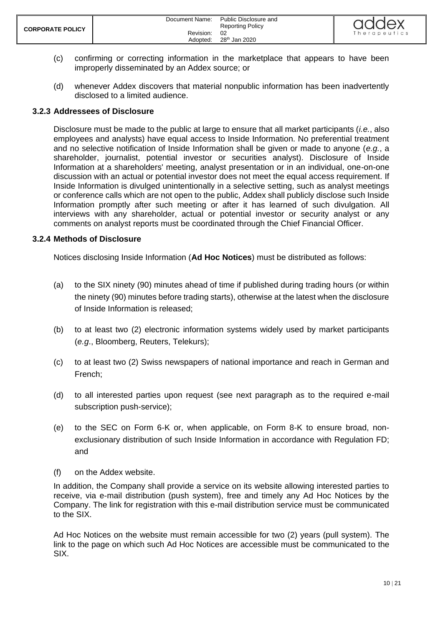- (c) confirming or correcting information in the marketplace that appears to have been improperly disseminated by an Addex source; or
- (d) whenever Addex discovers that material nonpublic information has been inadvertently disclosed to a limited audience.

#### <span id="page-9-0"></span>**3.2.3 Addressees of Disclosure**

Disclosure must be made to the public at large to ensure that all market participants (*i.e.*, also employees and analysts) have equal access to Inside Information. No preferential treatment and no selective notification of Inside Information shall be given or made to anyone (*e.g.*, a shareholder, journalist, potential investor or securities analyst). Disclosure of Inside Information at a shareholders' meeting, analyst presentation or in an individual, one-on-one discussion with an actual or potential investor does not meet the equal access requirement. If Inside Information is divulged unintentionally in a selective setting, such as analyst meetings or conference calls which are not open to the public, Addex shall publicly disclose such Inside Information promptly after such meeting or after it has learned of such divulgation. All interviews with any shareholder, actual or potential investor or security analyst or any comments on analyst reports must be coordinated through the Chief Financial Officer.

#### <span id="page-9-1"></span>**3.2.4 Methods of Disclosure**

Notices disclosing Inside Information (**Ad Hoc Notices**) must be distributed as follows:

- (a) to the SIX ninety (90) minutes ahead of time if published during trading hours (or within the ninety (90) minutes before trading starts), otherwise at the latest when the disclosure of Inside Information is released;
- (b) to at least two (2) electronic information systems widely used by market participants (*e.g*., Bloomberg, Reuters, Telekurs);
- (c) to at least two (2) Swiss newspapers of national importance and reach in German and French;
- (d) to all interested parties upon request (see next paragraph as to the required e-mail subscription push-service);
- (e) to the SEC on Form 6-K or, when applicable, on Form 8-K to ensure broad, nonexclusionary distribution of such Inside Information in accordance with Regulation FD; and
- (f) on the Addex website.

In addition, the Company shall provide a service on its website allowing interested parties to receive, via e-mail distribution (push system), free and timely any Ad Hoc Notices by the Company. The link for registration with this e-mail distribution service must be communicated to the SIX.

Ad Hoc Notices on the website must remain accessible for two (2) years (pull system). The link to the page on which such Ad Hoc Notices are accessible must be communicated to the SIX.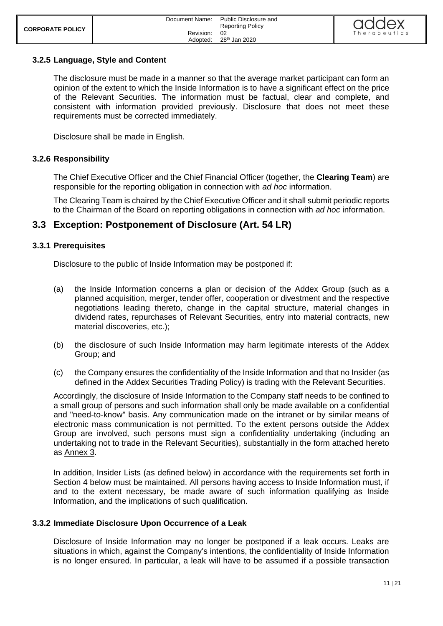#### <span id="page-10-0"></span>**3.2.5 Language, Style and Content**

The disclosure must be made in a manner so that the average market participant can form an opinion of the extent to which the Inside Information is to have a significant effect on the price of the Relevant Securities. The information must be factual, clear and complete, and consistent with information provided previously. Disclosure that does not meet these requirements must be corrected immediately.

Disclosure shall be made in English.

#### <span id="page-10-1"></span>**3.2.6 Responsibility**

The Chief Executive Officer and the Chief Financial Officer (together, the **Clearing Team**) are responsible for the reporting obligation in connection with *ad hoc* information.

The Clearing Team is chaired by the Chief Executive Officer and it shall submit periodic reports to the Chairman of the Board on reporting obligations in connection with *ad hoc* information.

#### <span id="page-10-2"></span>**3.3 Exception: Postponement of Disclosure (Art. 54 LR)**

#### <span id="page-10-3"></span>**3.3.1 Prerequisites**

Disclosure to the public of Inside Information may be postponed if:

- (a) the Inside Information concerns a plan or decision of the Addex Group (such as a planned acquisition, merger, tender offer, cooperation or divestment and the respective negotiations leading thereto, change in the capital structure, material changes in dividend rates, repurchases of Relevant Securities, entry into material contracts, new material discoveries, etc.);
- (b) the disclosure of such Inside Information may harm legitimate interests of the Addex Group; and
- (c) the Company ensures the confidentiality of the Inside Information and that no Insider (as defined in the Addex Securities Trading Policy) is trading with the Relevant Securities.

Accordingly, the disclosure of Inside Information to the Company staff needs to be confined to a small group of persons and such information shall only be made available on a confidential and "need-to-know" basis. Any communication made on the intranet or by similar means of electronic mass communication is not permitted. To the extent persons outside the Addex Group are involved, such persons must sign a confidentiality undertaking (including an undertaking not to trade in the Relevant Securities), substantially in the form attached hereto as Annex 3.

In addition, Insider Lists (as defined below) in accordance with the requirements set forth in Section 4 below must be maintained. All persons having access to Inside Information must, if and to the extent necessary, be made aware of such information qualifying as Inside Information, and the implications of such qualification.

#### <span id="page-10-4"></span>**3.3.2 Immediate Disclosure Upon Occurrence of a Leak**

Disclosure of Inside Information may no longer be postponed if a leak occurs. Leaks are situations in which, against the Company's intentions, the confidentiality of Inside Information is no longer ensured. In particular, a leak will have to be assumed if a possible transaction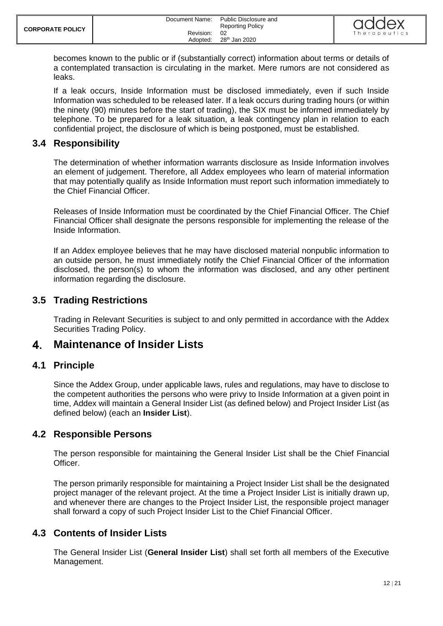becomes known to the public or if (substantially correct) information about terms or details of a contemplated transaction is circulating in the market. Mere rumors are not considered as leaks.

If a leak occurs, Inside Information must be disclosed immediately, even if such Inside Information was scheduled to be released later. If a leak occurs during trading hours (or within the ninety (90) minutes before the start of trading), the SIX must be informed immediately by telephone. To be prepared for a leak situation, a leak contingency plan in relation to each confidential project, the disclosure of which is being postponed, must be established.

## <span id="page-11-0"></span>**3.4 Responsibility**

The determination of whether information warrants disclosure as Inside Information involves an element of judgement. Therefore, all Addex employees who learn of material information that may potentially qualify as Inside Information must report such information immediately to the Chief Financial Officer.

Releases of Inside Information must be coordinated by the Chief Financial Officer. The Chief Financial Officer shall designate the persons responsible for implementing the release of the Inside Information.

If an Addex employee believes that he may have disclosed material nonpublic information to an outside person, he must immediately notify the Chief Financial Officer of the information disclosed, the person(s) to whom the information was disclosed, and any other pertinent information regarding the disclosure.

# <span id="page-11-1"></span>**3.5 Trading Restrictions**

Trading in Relevant Securities is subject to and only permitted in accordance with the Addex Securities Trading Policy.

#### <span id="page-11-2"></span>**Maintenance of Insider Lists**  $\mathbf{4}$

### <span id="page-11-3"></span>**4.1 Principle**

Since the Addex Group, under applicable laws, rules and regulations, may have to disclose to the competent authorities the persons who were privy to Inside Information at a given point in time, Addex will maintain a General Insider List (as defined below) and Project Insider List (as defined below) (each an **Insider List**).

### <span id="page-11-4"></span>**4.2 Responsible Persons**

The person responsible for maintaining the General Insider List shall be the Chief Financial Officer.

The person primarily responsible for maintaining a Project Insider List shall be the designated project manager of the relevant project. At the time a Project Insider List is initially drawn up, and whenever there are changes to the Project Insider List, the responsible project manager shall forward a copy of such Project Insider List to the Chief Financial Officer.

# <span id="page-11-5"></span>**4.3 Contents of Insider Lists**

The General Insider List (**General Insider List**) shall set forth all members of the Executive Management.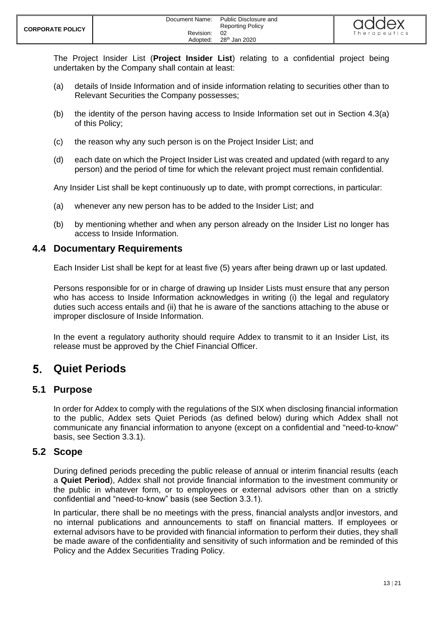The Project Insider List (**Project Insider List**) relating to a confidential project being undertaken by the Company shall contain at least:

- (a) details of Inside Information and of inside information relating to securities other than to Relevant Securities the Company possesses;
- (b) the identity of the person having access to Inside Information set out in Section 4.3(a) of this Policy;
- (c) the reason why any such person is on the Project Insider List; and
- (d) each date on which the Project Insider List was created and updated (with regard to any person) and the period of time for which the relevant project must remain confidential.

Any Insider List shall be kept continuously up to date, with prompt corrections, in particular:

- (a) whenever any new person has to be added to the Insider List; and
- (b) by mentioning whether and when any person already on the Insider List no longer has access to Inside Information.

#### <span id="page-12-0"></span>**4.4 Documentary Requirements**

Each Insider List shall be kept for at least five (5) years after being drawn up or last updated.

Persons responsible for or in charge of drawing up Insider Lists must ensure that any person who has access to Inside Information acknowledges in writing (i) the legal and regulatory duties such access entails and (ii) that he is aware of the sanctions attaching to the abuse or improper disclosure of Inside Information.

In the event a regulatory authority should require Addex to transmit to it an Insider List, its release must be approved by the Chief Financial Officer.

#### <span id="page-12-1"></span> $5<sub>1</sub>$ **Quiet Periods**

#### <span id="page-12-2"></span>**5.1 Purpose**

In order for Addex to comply with the regulations of the SIX when disclosing financial information to the public, Addex sets Quiet Periods (as defined below) during which Addex shall not communicate any financial information to anyone (except on a confidential and "need-to-know" basis, see Section 3.3.1).

#### <span id="page-12-3"></span>**5.2 Scope**

During defined periods preceding the public release of annual or interim financial results (each a **Quiet Period**), Addex shall not provide financial information to the investment community or the public in whatever form, or to employees or external advisors other than on a strictly confidential and "need-to-know" basis (see Section 3.3.1).

In particular, there shall be no meetings with the press, financial analysts and|or investors, and no internal publications and announcements to staff on financial matters. If employees or external advisors have to be provided with financial information to perform their duties, they shall be made aware of the confidentiality and sensitivity of such information and be reminded of this Policy and the Addex Securities Trading Policy.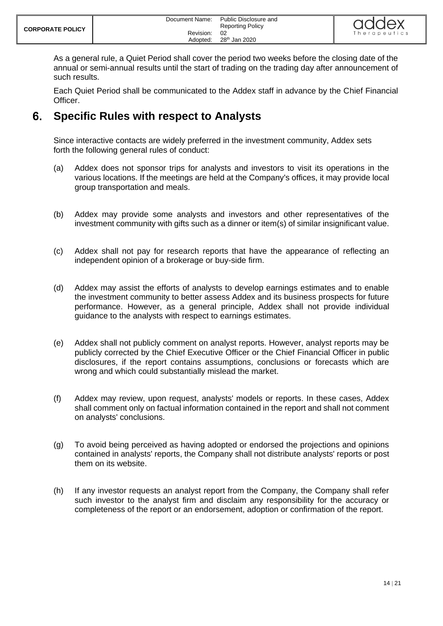| <b>CORPORATE POLICY</b> | Document Name: | Public Disclosure and<br><b>Reporting Policy</b> | addex        |
|-------------------------|----------------|--------------------------------------------------|--------------|
|                         | Revision:      | -02                                              | Therapeutics |
|                         | Adopted:       | 28 <sup>th</sup> Jan 2020                        |              |

As a general rule, a Quiet Period shall cover the period two weeks before the closing date of the annual or semi-annual results until the start of trading on the trading day after announcement of such results.

Each Quiet Period shall be communicated to the Addex staff in advance by the Chief Financial Officer.

#### <span id="page-13-0"></span>6. **Specific Rules with respect to Analysts**

Since interactive contacts are widely preferred in the investment community, Addex sets forth the following general rules of conduct:

- (a) Addex does not sponsor trips for analysts and investors to visit its operations in the various locations. If the meetings are held at the Company's offices, it may provide local group transportation and meals.
- (b) Addex may provide some analysts and investors and other representatives of the investment community with gifts such as a dinner or item(s) of similar insignificant value.
- (c) Addex shall not pay for research reports that have the appearance of reflecting an independent opinion of a brokerage or buy-side firm.
- (d) Addex may assist the efforts of analysts to develop earnings estimates and to enable the investment community to better assess Addex and its business prospects for future performance. However, as a general principle, Addex shall not provide individual guidance to the analysts with respect to earnings estimates.
- (e) Addex shall not publicly comment on analyst reports. However, analyst reports may be publicly corrected by the Chief Executive Officer or the Chief Financial Officer in public disclosures, if the report contains assumptions, conclusions or forecasts which are wrong and which could substantially mislead the market.
- (f) Addex may review, upon request, analysts' models or reports. In these cases, Addex shall comment only on factual information contained in the report and shall not comment on analysts' conclusions.
- (g) To avoid being perceived as having adopted or endorsed the projections and opinions contained in analysts' reports, the Company shall not distribute analysts' reports or post them on its website.
- (h) If any investor requests an analyst report from the Company, the Company shall refer such investor to the analyst firm and disclaim any responsibility for the accuracy or completeness of the report or an endorsement, adoption or confirmation of the report.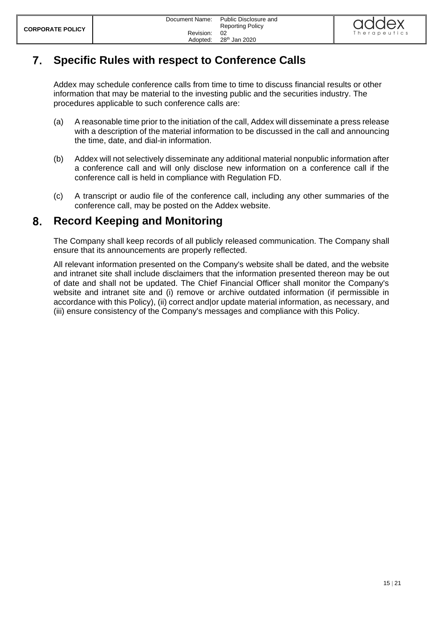

#### <span id="page-14-0"></span> $7<sub>1</sub>$ **Specific Rules with respect to Conference Calls**

Addex may schedule conference calls from time to time to discuss financial results or other information that may be material to the investing public and the securities industry. The procedures applicable to such conference calls are:

- (a) A reasonable time prior to the initiation of the call, Addex will disseminate a press release with a description of the material information to be discussed in the call and announcing the time, date, and dial-in information.
- (b) Addex will not selectively disseminate any additional material nonpublic information after a conference call and will only disclose new information on a conference call if the conference call is held in compliance with Regulation FD.
- (c) A transcript or audio file of the conference call, including any other summaries of the conference call, may be posted on the Addex website.

#### <span id="page-14-1"></span>8. **Record Keeping and Monitoring**

The Company shall keep records of all publicly released communication. The Company shall ensure that its announcements are properly reflected.

All relevant information presented on the Company's website shall be dated, and the website and intranet site shall include disclaimers that the information presented thereon may be out of date and shall not be updated. The Chief Financial Officer shall monitor the Company's website and intranet site and (i) remove or archive outdated information (if permissible in accordance with this Policy), (ii) correct and|or update material information, as necessary, and (iii) ensure consistency of the Company's messages and compliance with this Policy.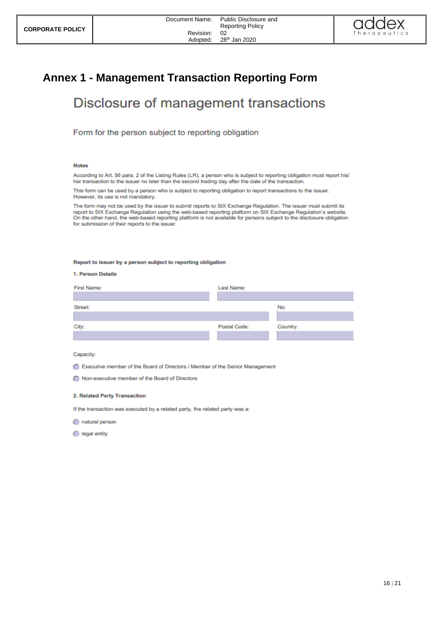# <span id="page-15-0"></span>**Annex 1 - Management Transaction Reporting Form**

# Disclosure of management transactions

Form for the person subject to reporting obligation

#### **Notes**

According to Art. 56 para. 2 of the Listing Rules (LR), a person who is subject to reporting obligation must report his/ her transaction to the issuer no later than the second trading day after the date of the transaction.

This form can be used by a person who is subject to reporting obligation to report transactions to the issuer. However, its use is not mandatory.

The form may not be used by the issuer to submit reports to SIX Exchange Regulation. The issuer must submit its report to SIX Exchange Regulation using the web-based reporting platform on SIX Exchange Regulation's website.<br>On the other hand, the web-based reporting platform is not available for persons subject to the disclosure obli for submission of their reports to the issuer.

#### Report to issuer by a person subject to reporting obligation

1. Person Details

| First Name: | Last Name:   |          |
|-------------|--------------|----------|
|             |              |          |
| Street:     |              | No:      |
|             |              |          |
| City:       | Postal Code: | Country: |
|             |              |          |

Capacity:

Executive member of the Board of Directors / Member of the Senior Management

Non-executive member of the Board of Directors

#### 2. Related Party Transaction

If the transaction was executed by a related party, the related party was a:

natural person

egal entity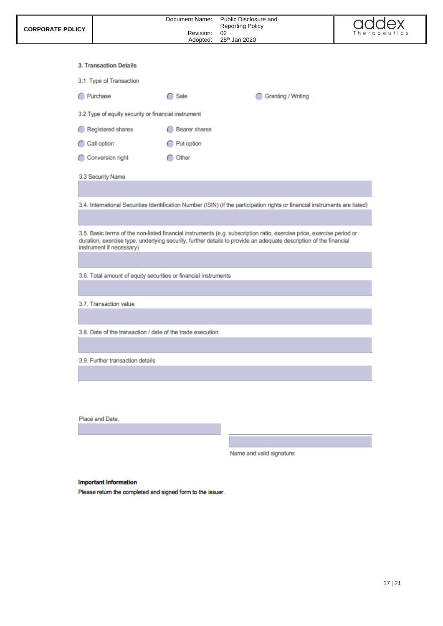| <b>CORPORATE POLICY</b>                                                                                                                                                                                                                                                |                                                                                            | Document Name:<br>Revision:<br>Adopted: | Public Disclosure and<br><b>Reporting Policy</b><br>02<br>28 <sup>th</sup> Jan 2020                                          | Therapeut |
|------------------------------------------------------------------------------------------------------------------------------------------------------------------------------------------------------------------------------------------------------------------------|--------------------------------------------------------------------------------------------|-----------------------------------------|------------------------------------------------------------------------------------------------------------------------------|-----------|
|                                                                                                                                                                                                                                                                        | <b>3. Transaction Details</b>                                                              |                                         |                                                                                                                              |           |
|                                                                                                                                                                                                                                                                        | 3.1. Type of Transaction                                                                   |                                         |                                                                                                                              |           |
|                                                                                                                                                                                                                                                                        | Purchase                                                                                   | ∩ Sale                                  | Granting / Writing                                                                                                           |           |
|                                                                                                                                                                                                                                                                        | 3.2 Type of equity security or financial instrument                                        |                                         |                                                                                                                              |           |
|                                                                                                                                                                                                                                                                        | Registered shares                                                                          | <b>Bearer shares</b>                    |                                                                                                                              |           |
|                                                                                                                                                                                                                                                                        | C Call option                                                                              | ◯ Put option                            |                                                                                                                              |           |
|                                                                                                                                                                                                                                                                        | C Conversion right                                                                         | ◯ Other                                 |                                                                                                                              |           |
|                                                                                                                                                                                                                                                                        | 3.3 Security Name                                                                          |                                         |                                                                                                                              |           |
|                                                                                                                                                                                                                                                                        |                                                                                            |                                         |                                                                                                                              |           |
|                                                                                                                                                                                                                                                                        |                                                                                            |                                         | 3.4. International Securities Identification Number (ISIN) (if the participation rights or financial instruments are listed) |           |
| 3.5. Basic terms of the non-listed financial instruments (e.g. subscription ratio, exercise price, exercise period or<br>duration, exercise type, underlying security, further details to provide an adequate description of the financial<br>instrument if necessary) |                                                                                            |                                         |                                                                                                                              |           |
| 3.6. Total amount of equity securities or financial instruments                                                                                                                                                                                                        |                                                                                            |                                         |                                                                                                                              |           |
|                                                                                                                                                                                                                                                                        | 3.7. Transaction value                                                                     |                                         |                                                                                                                              |           |
| 3.8. Date of the transaction / date of the trade execution                                                                                                                                                                                                             |                                                                                            |                                         |                                                                                                                              |           |
|                                                                                                                                                                                                                                                                        | 3.9. Further transaction details                                                           |                                         |                                                                                                                              |           |
|                                                                                                                                                                                                                                                                        |                                                                                            |                                         |                                                                                                                              |           |
|                                                                                                                                                                                                                                                                        | Place and Date.                                                                            |                                         |                                                                                                                              |           |
|                                                                                                                                                                                                                                                                        |                                                                                            |                                         | Name and valid signature:                                                                                                    |           |
|                                                                                                                                                                                                                                                                        |                                                                                            |                                         |                                                                                                                              |           |
|                                                                                                                                                                                                                                                                        | <b>Important Information</b><br>Please return the completed and signed form to the issuer. |                                         |                                                                                                                              |           |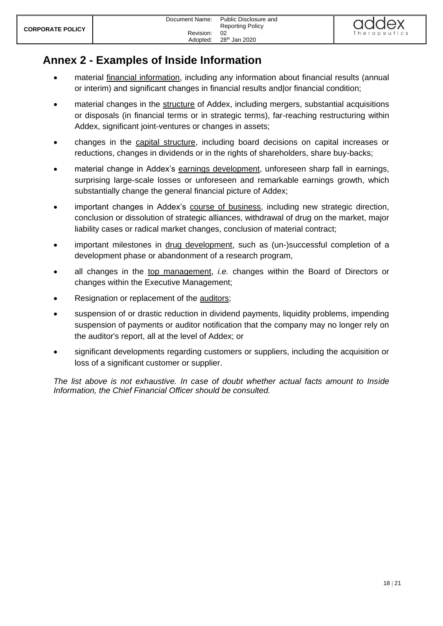# <span id="page-17-0"></span>**Annex 2 - Examples of Inside Information**

- material financial information, including any information about financial results (annual or interim) and significant changes in financial results and|or financial condition;
- material changes in the structure of Addex, including mergers, substantial acquisitions or disposals (in financial terms or in strategic terms), far-reaching restructuring within Addex, significant joint-ventures or changes in assets;
- changes in the capital structure, including board decisions on capital increases or reductions, changes in dividends or in the rights of shareholders, share buy-backs;
- material change in Addex's earnings development, unforeseen sharp fall in earnings, surprising large-scale losses or unforeseen and remarkable earnings growth, which substantially change the general financial picture of Addex;
- important changes in Addex's course of business, including new strategic direction, conclusion or dissolution of strategic alliances, withdrawal of drug on the market, major liability cases or radical market changes, conclusion of material contract;
- important milestones in drug development, such as (un-)successful completion of a development phase or abandonment of a research program,
- all changes in the top management, *i.e.* changes within the Board of Directors or changes within the Executive Management;
- Resignation or replacement of the auditors;
- suspension of or drastic reduction in dividend payments, liquidity problems, impending suspension of payments or auditor notification that the company may no longer rely on the auditor's report, all at the level of Addex; or
- significant developments regarding customers or suppliers, including the acquisition or loss of a significant customer or supplier.

*The list above is not exhaustive. In case of doubt whether actual facts amount to Inside Information, the Chief Financial Officer should be consulted.*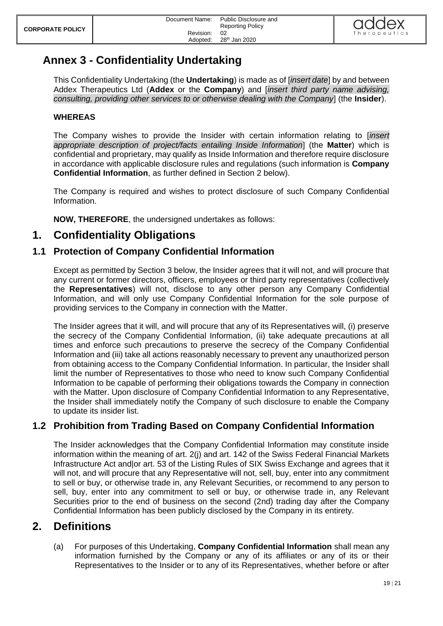# <span id="page-18-0"></span>**Annex 3 - Confidentiality Undertaking**

This Confidentiality Undertaking (the **Undertaking**) is made as of [*insert date*] by and between Addex Therapeutics Ltd (**Addex** or the **Company**) and [*insert third party name advising, consulting, providing other services to or otherwise dealing with the Company*] (the **Insider**).

### **WHEREAS**

The Company wishes to provide the Insider with certain information relating to [*insert appropriate description of project/facts entailing Inside Information*] (the **Matter**) which is confidential and proprietary, may qualify as Inside Information and therefore require disclosure in accordance with applicable disclosure rules and regulations (such information is **Company Confidential Information**, as further defined in Section 2 below).

The Company is required and wishes to protect disclosure of such Company Confidential Information.

**NOW, THEREFORE**, the undersigned undertakes as follows:

# **1. Confidentiality Obligations**

# **1.1 Protection of Company Confidential Information**

Except as permitted by Section 3 below, the Insider agrees that it will not, and will procure that any current or former directors, officers, employees or third party representatives (collectively the **Representatives**) will not, disclose to any other person any Company Confidential Information, and will only use Company Confidential Information for the sole purpose of providing services to the Company in connection with the Matter.

The Insider agrees that it will, and will procure that any of its Representatives will, (i) preserve the secrecy of the Company Confidential Information, (ii) take adequate precautions at all times and enforce such precautions to preserve the secrecy of the Company Confidential Information and (iii) take all actions reasonably necessary to prevent any unauthorized person from obtaining access to the Company Confidential Information. In particular, the Insider shall limit the number of Representatives to those who need to know such Company Confidential Information to be capable of performing their obligations towards the Company in connection with the Matter. Upon disclosure of Company Confidential Information to any Representative, the Insider shall immediately notify the Company of such disclosure to enable the Company to update its insider list.

# **1.2 Prohibition from Trading Based on Company Confidential Information**

The Insider acknowledges that the Company Confidential Information may constitute inside information within the meaning of art. 2(j) and art. 142 of the Swiss Federal Financial Markets Infrastructure Act and|or art. 53 of the Listing Rules of SIX Swiss Exchange and agrees that it will not, and will procure that any Representative will not, sell, buy, enter into any commitment to sell or buy, or otherwise trade in, any Relevant Securities, or recommend to any person to sell, buy, enter into any commitment to sell or buy, or otherwise trade in, any Relevant Securities prior to the end of business on the second (2nd) trading day after the Company Confidential Information has been publicly disclosed by the Company in its entirety.

# **2. Definitions**

(a) For purposes of this Undertaking, **Company Confidential Information** shall mean any information furnished by the Company or any of its affiliates or any of its or their Representatives to the Insider or to any of its Representatives, whether before or after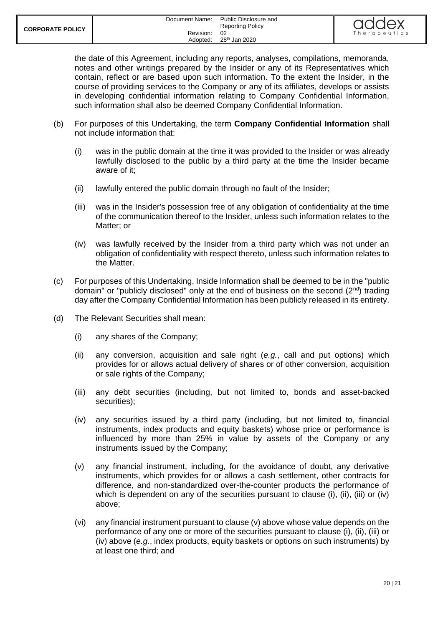the date of this Agreement, including any reports, analyses, compilations, memoranda, notes and other writings prepared by the Insider or any of its Representatives which contain, reflect or are based upon such information. To the extent the Insider, in the course of providing services to the Company or any of its affiliates, develops or assists in developing confidential information relating to Company Confidential Information, such information shall also be deemed Company Confidential Information.

- (b) For purposes of this Undertaking, the term **Company Confidential Information** shall not include information that:
	- (i) was in the public domain at the time it was provided to the Insider or was already lawfully disclosed to the public by a third party at the time the Insider became aware of it;
	- (ii) lawfully entered the public domain through no fault of the Insider;
	- (iii) was in the Insider's possession free of any obligation of confidentiality at the time of the communication thereof to the Insider, unless such information relates to the Matter; or
	- (iv) was lawfully received by the Insider from a third party which was not under an obligation of confidentiality with respect thereto, unless such information relates to the Matter.
- (c) For purposes of this Undertaking, Inside Information shall be deemed to be in the "public domain" or "publicly disclosed" only at the end of business on the second  $(2^{nd})$  trading day after the Company Confidential Information has been publicly released in its entirety.
- (d) The Relevant Securities shall mean:
	- (i) any shares of the Company;
	- (ii) any conversion, acquisition and sale right (*e.g.*, call and put options) which provides for or allows actual delivery of shares or of other conversion, acquisition or sale rights of the Company;
	- (iii) any debt securities (including, but not limited to, bonds and asset-backed securities);
	- (iv) any securities issued by a third party (including, but not limited to, financial instruments, index products and equity baskets) whose price or performance is influenced by more than 25% in value by assets of the Company or any instruments issued by the Company;
	- (v) any financial instrument, including, for the avoidance of doubt, any derivative instruments, which provides for or allows a cash settlement, other contracts for difference, and non-standardized over-the-counter products the performance of which is dependent on any of the securities pursuant to clause (i), (ii), (iii) or (iv) above;
	- (vi) any financial instrument pursuant to clause (v) above whose value depends on the performance of any one or more of the securities pursuant to clause (i), (ii), (iii) or (iv) above (*e.g.*, index products, equity baskets or options on such instruments) by at least one third; and